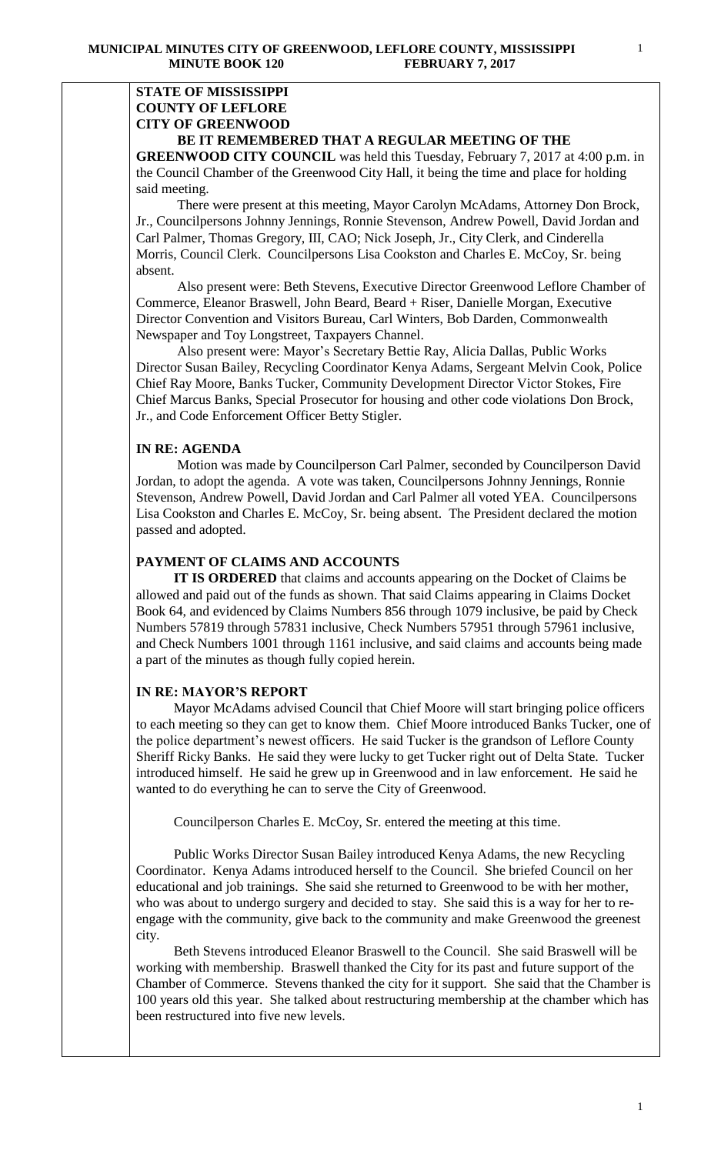### **STATE OF MISSISSIPPI COUNTY OF LEFLORE CITY OF GREENWOOD BE IT REMEMBERED THAT A REGULAR MEETING OF THE**

**GREENWOOD CITY COUNCIL** was held this Tuesday, February 7, 2017 at 4:00 p.m. in the Council Chamber of the Greenwood City Hall, it being the time and place for holding said meeting.

There were present at this meeting, Mayor Carolyn McAdams, Attorney Don Brock, Jr., Councilpersons Johnny Jennings, Ronnie Stevenson, Andrew Powell, David Jordan and Carl Palmer, Thomas Gregory, III, CAO; Nick Joseph, Jr., City Clerk, and Cinderella Morris, Council Clerk. Councilpersons Lisa Cookston and Charles E. McCoy, Sr. being absent.

 Also present were: Beth Stevens, Executive Director Greenwood Leflore Chamber of Commerce, Eleanor Braswell, John Beard, Beard + Riser, Danielle Morgan, Executive Director Convention and Visitors Bureau, Carl Winters, Bob Darden, Commonwealth Newspaper and Toy Longstreet, Taxpayers Channel.

 Also present were: Mayor's Secretary Bettie Ray, Alicia Dallas, Public Works Director Susan Bailey, Recycling Coordinator Kenya Adams, Sergeant Melvin Cook, Police Chief Ray Moore, Banks Tucker, Community Development Director Victor Stokes, Fire Chief Marcus Banks, Special Prosecutor for housing and other code violations Don Brock, Jr., and Code Enforcement Officer Betty Stigler.

## **IN RE: AGENDA**

 Motion was made by Councilperson Carl Palmer, seconded by Councilperson David Jordan, to adopt the agenda. A vote was taken, Councilpersons Johnny Jennings, Ronnie Stevenson, Andrew Powell, David Jordan and Carl Palmer all voted YEA. Councilpersons Lisa Cookston and Charles E. McCoy, Sr. being absent. The President declared the motion passed and adopted.

#### **PAYMENT OF CLAIMS AND ACCOUNTS**

 **IT IS ORDERED** that claims and accounts appearing on the Docket of Claims be allowed and paid out of the funds as shown. That said Claims appearing in Claims Docket Book 64, and evidenced by Claims Numbers 856 through 1079 inclusive, be paid by Check Numbers 57819 through 57831 inclusive, Check Numbers 57951 through 57961 inclusive, and Check Numbers 1001 through 1161 inclusive, and said claims and accounts being made a part of the minutes as though fully copied herein.

### **IN RE: MAYOR'S REPORT**

Mayor McAdams advised Council that Chief Moore will start bringing police officers to each meeting so they can get to know them. Chief Moore introduced Banks Tucker, one of the police department's newest officers. He said Tucker is the grandson of Leflore County Sheriff Ricky Banks. He said they were lucky to get Tucker right out of Delta State. Tucker introduced himself. He said he grew up in Greenwood and in law enforcement. He said he wanted to do everything he can to serve the City of Greenwood.

Councilperson Charles E. McCoy, Sr. entered the meeting at this time.

 Public Works Director Susan Bailey introduced Kenya Adams, the new Recycling Coordinator. Kenya Adams introduced herself to the Council. She briefed Council on her educational and job trainings. She said she returned to Greenwood to be with her mother, who was about to undergo surgery and decided to stay. She said this is a way for her to reengage with the community, give back to the community and make Greenwood the greenest city.

 Beth Stevens introduced Eleanor Braswell to the Council. She said Braswell will be working with membership. Braswell thanked the City for its past and future support of the Chamber of Commerce. Stevens thanked the city for it support. She said that the Chamber is 100 years old this year. She talked about restructuring membership at the chamber which has been restructured into five new levels.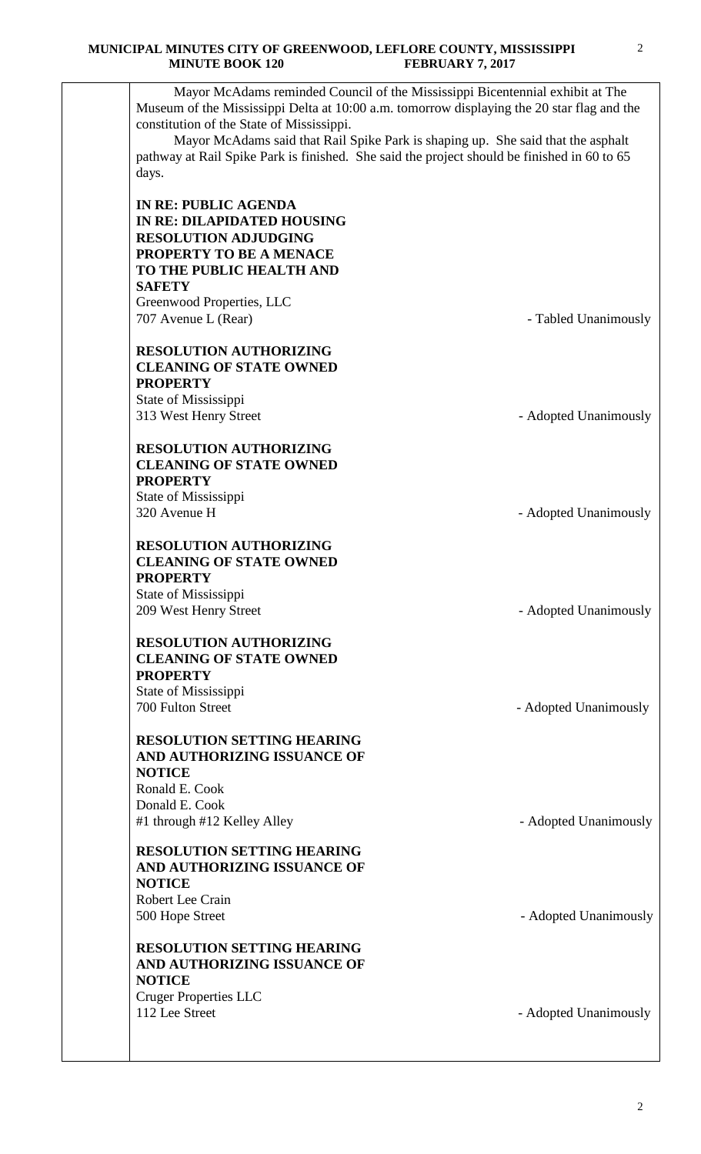Mayor McAdams reminded Council of the Mississippi Bicentennial exhibit at The Museum of the Mississippi Delta at 10:00 a.m. tomorrow displaying the 20 star flag and the constitution of the State of Mississippi. Mayor McAdams said that Rail Spike Park is shaping up. She said that the asphalt pathway at Rail Spike Park is finished. She said the project should be finished in 60 to 65 days. **IN RE: PUBLIC AGENDA IN RE: DILAPIDATED HOUSING RESOLUTION ADJUDGING PROPERTY TO BE A MENACE TO THE PUBLIC HEALTH AND SAFETY** Greenwood Properties, LLC 707 Avenue L (Rear) **- Tabled Unanimously RESOLUTION AUTHORIZING CLEANING OF STATE OWNED PROPERTY** State of Mississippi 313 West Henry Street **- Adopted Unanimously RESOLUTION AUTHORIZING CLEANING OF STATE OWNED PROPERTY** State of Mississippi 320 Avenue H - Adopted Unanimously **RESOLUTION AUTHORIZING CLEANING OF STATE OWNED PROPERTY** State of Mississippi 209 West Henry Street **- Adopted Unanimously RESOLUTION AUTHORIZING CLEANING OF STATE OWNED PROPERTY** State of Mississippi 700 Fulton Street - Adopted Unanimously **RESOLUTION SETTING HEARING AND AUTHORIZING ISSUANCE OF NOTICE** Ronald E. Cook Donald E. Cook #1 through #12 Kelley Alley **Alley Fig. 2018** - Adopted Unanimously **RESOLUTION SETTING HEARING AND AUTHORIZING ISSUANCE OF NOTICE** Robert Lee Crain 500 Hope Street - Adopted Unanimously **RESOLUTION SETTING HEARING AND AUTHORIZING ISSUANCE OF NOTICE** Cruger Properties LLC 112 Lee Street - Adopted Unanimously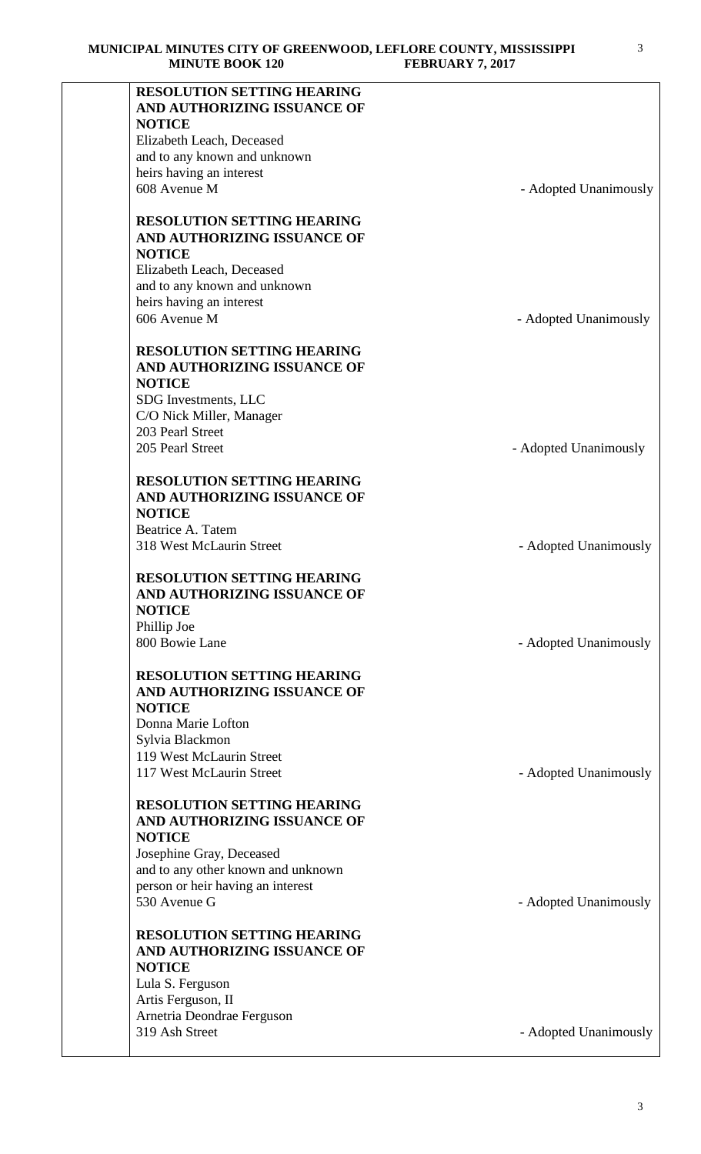| <b>RESOLUTION SETTING HEARING</b>  |                       |
|------------------------------------|-----------------------|
| AND AUTHORIZING ISSUANCE OF        |                       |
| <b>NOTICE</b>                      |                       |
| Elizabeth Leach, Deceased          |                       |
| and to any known and unknown       |                       |
| heirs having an interest           |                       |
| 608 Avenue M                       | - Adopted Unanimously |
|                                    |                       |
| <b>RESOLUTION SETTING HEARING</b>  |                       |
| AND AUTHORIZING ISSUANCE OF        |                       |
| <b>NOTICE</b>                      |                       |
| Elizabeth Leach, Deceased          |                       |
| and to any known and unknown       |                       |
| heirs having an interest           |                       |
| 606 Avenue M                       | - Adopted Unanimously |
|                                    |                       |
| <b>RESOLUTION SETTING HEARING</b>  |                       |
| AND AUTHORIZING ISSUANCE OF        |                       |
| <b>NOTICE</b>                      |                       |
| SDG Investments, LLC               |                       |
| C/O Nick Miller, Manager           |                       |
| 203 Pearl Street                   |                       |
| 205 Pearl Street                   | - Adopted Unanimously |
|                                    |                       |
| <b>RESOLUTION SETTING HEARING</b>  |                       |
| AND AUTHORIZING ISSUANCE OF        |                       |
| <b>NOTICE</b>                      |                       |
| Beatrice A. Tatem                  |                       |
| 318 West McLaurin Street           | - Adopted Unanimously |
|                                    |                       |
| <b>RESOLUTION SETTING HEARING</b>  |                       |
| AND AUTHORIZING ISSUANCE OF        |                       |
| <b>NOTICE</b>                      |                       |
| Phillip Joe                        |                       |
| 800 Bowie Lane                     | - Adopted Unanimously |
|                                    |                       |
| <b>RESOLUTION SETTING HEARING</b>  |                       |
| AND AUTHORIZING ISSUANCE OF        |                       |
| <b>NOTICE</b>                      |                       |
| Donna Marie Lofton                 |                       |
| Sylvia Blackmon                    |                       |
| 119 West McLaurin Street           |                       |
| 117 West McLaurin Street           | - Adopted Unanimously |
|                                    |                       |
| <b>RESOLUTION SETTING HEARING</b>  |                       |
| AND AUTHORIZING ISSUANCE OF        |                       |
| <b>NOTICE</b>                      |                       |
| Josephine Gray, Deceased           |                       |
|                                    |                       |
| and to any other known and unknown |                       |
| person or heir having an interest  |                       |
| 530 Avenue G                       | - Adopted Unanimously |
| <b>RESOLUTION SETTING HEARING</b>  |                       |
|                                    |                       |
| AND AUTHORIZING ISSUANCE OF        |                       |
| <b>NOTICE</b>                      |                       |
| Lula S. Ferguson                   |                       |
| Artis Ferguson, II                 |                       |
| Arnetria Deondrae Ferguson         |                       |
| 319 Ash Street                     | - Adopted Unanimously |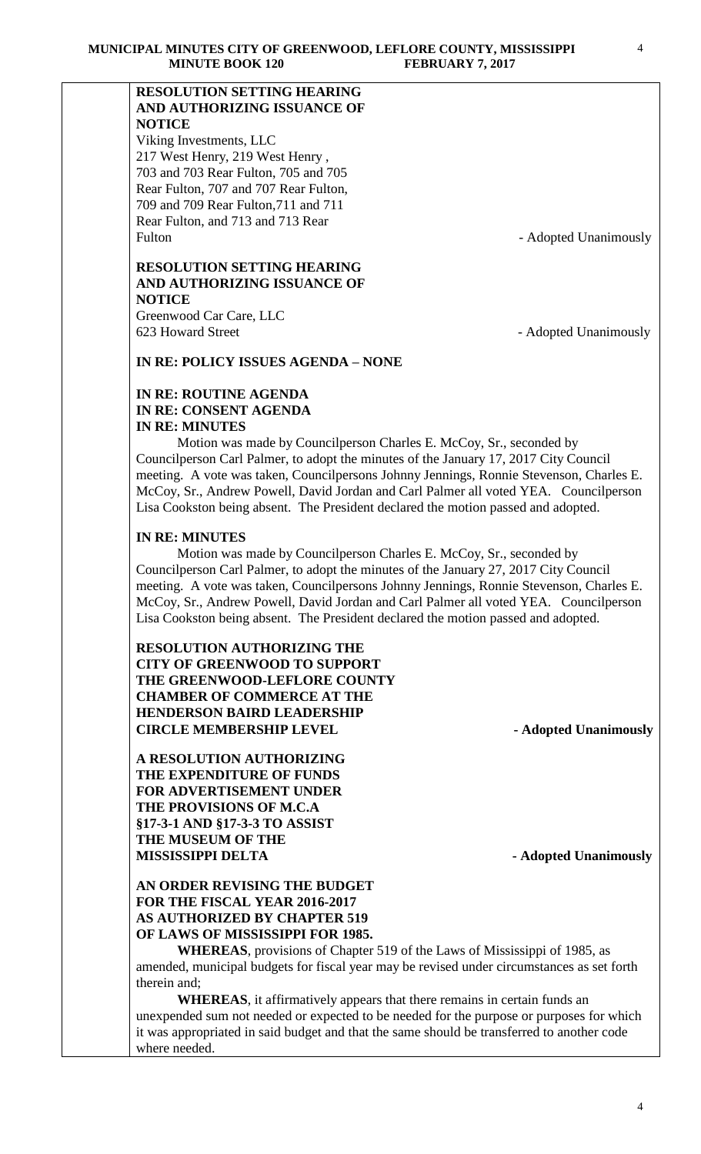## **RESOLUTION SETTING HEARING AND AUTHORIZING ISSUANCE OF NOTICE**

Viking Investments, LLC 217 West Henry, 219 West Henry , 703 and 703 Rear Fulton, 705 and 705 Rear Fulton, 707 and 707 Rear Fulton, 709 and 709 Rear Fulton,711 and 711 Rear Fulton, and 713 and 713 Rear Fulton - Adopted Unanimously

# **RESOLUTION SETTING HEARING AND AUTHORIZING ISSUANCE OF NOTICE**

Greenwood Car Care, LLC 623 Howard Street - Adopted Unanimously

**IN RE: POLICY ISSUES AGENDA – NONE**

## **IN RE: ROUTINE AGENDA IN RE: CONSENT AGENDA IN RE: MINUTES**

 Motion was made by Councilperson Charles E. McCoy, Sr., seconded by Councilperson Carl Palmer, to adopt the minutes of the January 17, 2017 City Council meeting. A vote was taken, Councilpersons Johnny Jennings, Ronnie Stevenson, Charles E. McCoy, Sr., Andrew Powell, David Jordan and Carl Palmer all voted YEA. Councilperson Lisa Cookston being absent. The President declared the motion passed and adopted.

## **IN RE: MINUTES**

 Motion was made by Councilperson Charles E. McCoy, Sr., seconded by Councilperson Carl Palmer, to adopt the minutes of the January 27, 2017 City Council meeting. A vote was taken, Councilpersons Johnny Jennings, Ronnie Stevenson, Charles E. McCoy, Sr., Andrew Powell, David Jordan and Carl Palmer all voted YEA. Councilperson Lisa Cookston being absent. The President declared the motion passed and adopted.

**RESOLUTION AUTHORIZING THE CITY OF GREENWOOD TO SUPPORT THE GREENWOOD-LEFLORE COUNTY CHAMBER OF COMMERCE AT THE HENDERSON BAIRD LEADERSHIP CIRCLE MEMBERSHIP LEVEL - Adopted Unanimously** 

**A RESOLUTION AUTHORIZING THE EXPENDITURE OF FUNDS FOR ADVERTISEMENT UNDER THE PROVISIONS OF M.C.A §17-3-1 AND §17-3-3 TO ASSIST THE MUSEUM OF THE MISSISSIPPI DELTA** - **Adopted Unanimously** 

## **AN ORDER REVISING THE BUDGET FOR THE FISCAL YEAR 2016-2017 AS AUTHORIZED BY CHAPTER 519 OF LAWS OF MISSISSIPPI FOR 1985.**

**WHEREAS**, provisions of Chapter 519 of the Laws of Mississippi of 1985, as amended, municipal budgets for fiscal year may be revised under circumstances as set forth therein and;

**WHEREAS**, it affirmatively appears that there remains in certain funds an unexpended sum not needed or expected to be needed for the purpose or purposes for which it was appropriated in said budget and that the same should be transferred to another code where needed.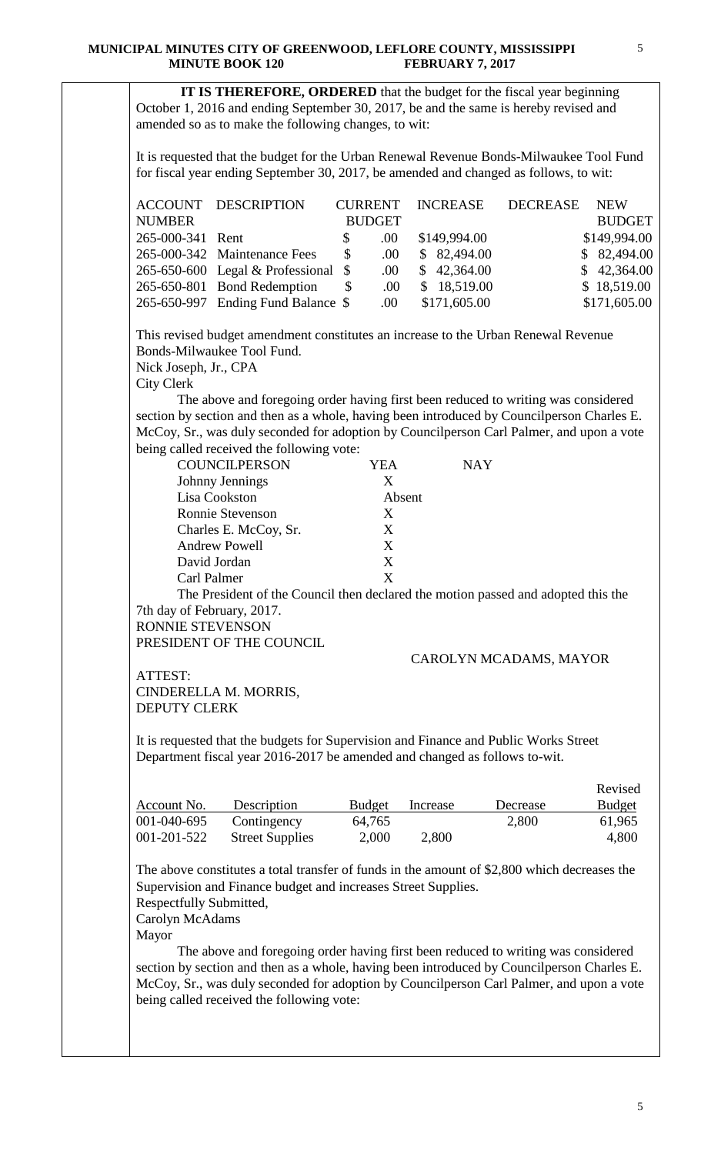**IT IS THEREFORE, ORDERED** that the budget for the fiscal year beginning October 1, 2016 and ending September 30, 2017, be and the same is hereby revised and amended so as to make the following changes, to wit: It is requested that the budget for the Urban Renewal Revenue Bonds-Milwaukee Tool Fund for fiscal year ending September 30, 2017, be amended and changed as follows, to wit: ACCOUNT DESCRIPTION CURRENT INCREASE DECREASE NEW NUMBER BUDGET BUDGET 265-000-341 Rent \$ .00 \$149,994.00 \$149,994.00 265-000-342 Maintenance Fees \$ .00 \$ 82,494.00 \$ 82,494.00 265-650-600 Legal & Professional \$ .00 \$ 42,364.00 \$ 42,364.00 265-650-801 Bond Redemption \$ .00 \$ 18,519.00 \$ 18,519.00 265-650-997 Ending Fund Balance \$ .00 \$171,605.00 \$171,605.00 This revised budget amendment constitutes an increase to the Urban Renewal Revenue Bonds-Milwaukee Tool Fund. Nick Joseph, Jr., CPA City Clerk The above and foregoing order having first been reduced to writing was considered section by section and then as a whole, having been introduced by Councilperson Charles E. McCoy, Sr., was duly seconded for adoption by Councilperson Carl Palmer, and upon a vote being called received the following vote: COUNCILPERSON YEA NAY Johnny Jennings X Lisa Cookston Absent Ronnie Stevenson X Charles E. McCoy, Sr. X Andrew Powell X David Jordan X

The President of the Council then declared the motion passed and adopted this the 7th day of February, 2017.

RONNIE STEVENSON PRESIDENT OF THE COUNCIL

Carl Palmer X

### CAROLYN MCADAMS, MAYOR

ATTEST: CINDERELLA M. MORRIS, DEPUTY CLERK

It is requested that the budgets for Supervision and Finance and Public Works Street Department fiscal year 2016-2017 be amended and changed as follows to-wit.

|             |                        |               |          |          | Revised       |
|-------------|------------------------|---------------|----------|----------|---------------|
| Account No. | Description            | <b>Budget</b> | Increase | Decrease | <b>Budget</b> |
| 001-040-695 | Contingency            | 64,765        |          | 2,800    | 61,965        |
| 001-201-522 | <b>Street Supplies</b> | 2,000         | 2,800    |          | 4,800         |

The above constitutes a total transfer of funds in the amount of \$2,800 which decreases the Supervision and Finance budget and increases Street Supplies.

Respectfully Submitted,

Carolyn McAdams

Mayor

 The above and foregoing order having first been reduced to writing was considered section by section and then as a whole, having been introduced by Councilperson Charles E. McCoy, Sr., was duly seconded for adoption by Councilperson Carl Palmer, and upon a vote being called received the following vote: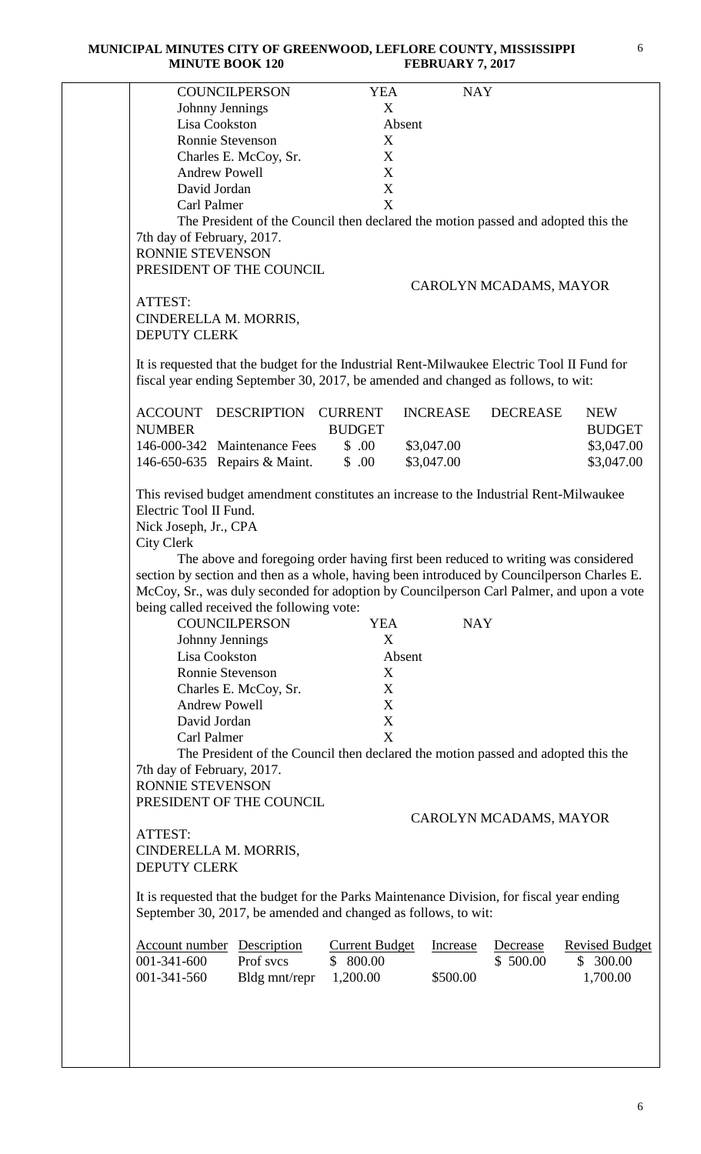#### **MUNICIPAL MINUTES CITY OF GREENWOOD, LEFLORE COUNTY, MISSISSIPPI MINUTE BOOK 120**

| <b>COUNCILPERSON</b>                                                                                                                                                                                                                                                                                                                                                                                                                   | <b>YEA</b>            | <b>NAY</b>      |                        |                       |
|----------------------------------------------------------------------------------------------------------------------------------------------------------------------------------------------------------------------------------------------------------------------------------------------------------------------------------------------------------------------------------------------------------------------------------------|-----------------------|-----------------|------------------------|-----------------------|
| Johnny Jennings                                                                                                                                                                                                                                                                                                                                                                                                                        | X                     |                 |                        |                       |
| Lisa Cookston                                                                                                                                                                                                                                                                                                                                                                                                                          | Absent                |                 |                        |                       |
| Ronnie Stevenson                                                                                                                                                                                                                                                                                                                                                                                                                       | X                     |                 |                        |                       |
| Charles E. McCoy, Sr.                                                                                                                                                                                                                                                                                                                                                                                                                  | X                     |                 |                        |                       |
| <b>Andrew Powell</b>                                                                                                                                                                                                                                                                                                                                                                                                                   | X                     |                 |                        |                       |
| David Jordan                                                                                                                                                                                                                                                                                                                                                                                                                           | $\mathbf X$           |                 |                        |                       |
| Carl Palmer                                                                                                                                                                                                                                                                                                                                                                                                                            | X                     |                 |                        |                       |
| The President of the Council then declared the motion passed and adopted this the                                                                                                                                                                                                                                                                                                                                                      |                       |                 |                        |                       |
| 7th day of February, 2017.                                                                                                                                                                                                                                                                                                                                                                                                             |                       |                 |                        |                       |
| RONNIE STEVENSON                                                                                                                                                                                                                                                                                                                                                                                                                       |                       |                 |                        |                       |
| PRESIDENT OF THE COUNCIL                                                                                                                                                                                                                                                                                                                                                                                                               |                       |                 |                        |                       |
|                                                                                                                                                                                                                                                                                                                                                                                                                                        |                       |                 | CAROLYN MCADAMS, MAYOR |                       |
| ATTEST:                                                                                                                                                                                                                                                                                                                                                                                                                                |                       |                 |                        |                       |
| CINDERELLA M. MORRIS,                                                                                                                                                                                                                                                                                                                                                                                                                  |                       |                 |                        |                       |
| <b>DEPUTY CLERK</b>                                                                                                                                                                                                                                                                                                                                                                                                                    |                       |                 |                        |                       |
|                                                                                                                                                                                                                                                                                                                                                                                                                                        |                       |                 |                        |                       |
| It is requested that the budget for the Industrial Rent-Milwaukee Electric Tool II Fund for                                                                                                                                                                                                                                                                                                                                            |                       |                 |                        |                       |
| fiscal year ending September 30, 2017, be amended and changed as follows, to wit:                                                                                                                                                                                                                                                                                                                                                      |                       |                 |                        |                       |
|                                                                                                                                                                                                                                                                                                                                                                                                                                        |                       |                 |                        |                       |
| <b>ACCOUNT</b><br>DESCRIPTION                                                                                                                                                                                                                                                                                                                                                                                                          | <b>CURRENT</b>        | <b>INCREASE</b> | <b>DECREASE</b>        | <b>NEW</b>            |
| <b>NUMBER</b>                                                                                                                                                                                                                                                                                                                                                                                                                          | <b>BUDGET</b>         |                 |                        | <b>BUDGET</b>         |
| 146-000-342 Maintenance Fees                                                                                                                                                                                                                                                                                                                                                                                                           | \$.00                 | \$3,047.00      |                        | \$3,047.00            |
|                                                                                                                                                                                                                                                                                                                                                                                                                                        |                       |                 |                        |                       |
| 146-650-635 Repairs & Maint.                                                                                                                                                                                                                                                                                                                                                                                                           | \$.00                 | \$3,047.00      |                        | \$3,047.00            |
|                                                                                                                                                                                                                                                                                                                                                                                                                                        |                       |                 |                        |                       |
|                                                                                                                                                                                                                                                                                                                                                                                                                                        |                       |                 |                        |                       |
| This revised budget amendment constitutes an increase to the Industrial Rent-Milwaukee                                                                                                                                                                                                                                                                                                                                                 |                       |                 |                        |                       |
| Electric Tool II Fund.                                                                                                                                                                                                                                                                                                                                                                                                                 |                       |                 |                        |                       |
| Nick Joseph, Jr., CPA                                                                                                                                                                                                                                                                                                                                                                                                                  |                       |                 |                        |                       |
| <b>City Clerk</b>                                                                                                                                                                                                                                                                                                                                                                                                                      |                       |                 |                        |                       |
| The above and foregoing order having first been reduced to writing was considered                                                                                                                                                                                                                                                                                                                                                      |                       |                 |                        |                       |
| section by section and then as a whole, having been introduced by Councilperson Charles E.                                                                                                                                                                                                                                                                                                                                             |                       |                 |                        |                       |
| McCoy, Sr., was duly seconded for adoption by Councilperson Carl Palmer, and upon a vote                                                                                                                                                                                                                                                                                                                                               |                       |                 |                        |                       |
|                                                                                                                                                                                                                                                                                                                                                                                                                                        |                       |                 |                        |                       |
| <b>COUNCILPERSON</b>                                                                                                                                                                                                                                                                                                                                                                                                                   | <b>YEA</b>            | <b>NAY</b>      |                        |                       |
| Johnny Jennings                                                                                                                                                                                                                                                                                                                                                                                                                        | X                     |                 |                        |                       |
| Lisa Cookston                                                                                                                                                                                                                                                                                                                                                                                                                          | Absent                |                 |                        |                       |
| Ronnie Stevenson                                                                                                                                                                                                                                                                                                                                                                                                                       | X                     |                 |                        |                       |
| Charles E. McCoy, Sr.                                                                                                                                                                                                                                                                                                                                                                                                                  | X                     |                 |                        |                       |
| <b>Andrew Powell</b>                                                                                                                                                                                                                                                                                                                                                                                                                   | X                     |                 |                        |                       |
| David Jordan                                                                                                                                                                                                                                                                                                                                                                                                                           | $\mathbf X$           |                 |                        |                       |
|                                                                                                                                                                                                                                                                                                                                                                                                                                        |                       |                 |                        |                       |
| Carl Palmer                                                                                                                                                                                                                                                                                                                                                                                                                            | X                     |                 |                        |                       |
| The President of the Council then declared the motion passed and adopted this the                                                                                                                                                                                                                                                                                                                                                      |                       |                 |                        |                       |
|                                                                                                                                                                                                                                                                                                                                                                                                                                        |                       |                 |                        |                       |
|                                                                                                                                                                                                                                                                                                                                                                                                                                        |                       |                 |                        |                       |
|                                                                                                                                                                                                                                                                                                                                                                                                                                        |                       |                 |                        |                       |
|                                                                                                                                                                                                                                                                                                                                                                                                                                        |                       |                 | CAROLYN MCADAMS, MAYOR |                       |
|                                                                                                                                                                                                                                                                                                                                                                                                                                        |                       |                 |                        |                       |
|                                                                                                                                                                                                                                                                                                                                                                                                                                        |                       |                 |                        |                       |
|                                                                                                                                                                                                                                                                                                                                                                                                                                        |                       |                 |                        |                       |
|                                                                                                                                                                                                                                                                                                                                                                                                                                        |                       |                 |                        |                       |
|                                                                                                                                                                                                                                                                                                                                                                                                                                        |                       |                 |                        |                       |
|                                                                                                                                                                                                                                                                                                                                                                                                                                        |                       |                 |                        |                       |
|                                                                                                                                                                                                                                                                                                                                                                                                                                        |                       |                 |                        |                       |
|                                                                                                                                                                                                                                                                                                                                                                                                                                        | <b>Current Budget</b> | <b>Increase</b> | Decrease               | <b>Revised Budget</b> |
| Prof svcs                                                                                                                                                                                                                                                                                                                                                                                                                              | \$800.00              |                 | \$500.00               | \$300.00              |
|                                                                                                                                                                                                                                                                                                                                                                                                                                        | 1,200.00              | \$500.00        |                        | 1,700.00              |
| being called received the following vote:<br>7th day of February, 2017.<br>RONNIE STEVENSON<br>PRESIDENT OF THE COUNCIL<br>ATTEST:<br>CINDERELLA M. MORRIS,<br><b>DEPUTY CLERK</b><br>It is requested that the budget for the Parks Maintenance Division, for fiscal year ending<br>September 30, 2017, be amended and changed as follows, to wit:<br><b>Account number</b> Description<br>001-341-600<br>001-341-560<br>Bldg mnt/repr |                       |                 |                        |                       |
|                                                                                                                                                                                                                                                                                                                                                                                                                                        |                       |                 |                        |                       |
|                                                                                                                                                                                                                                                                                                                                                                                                                                        |                       |                 |                        |                       |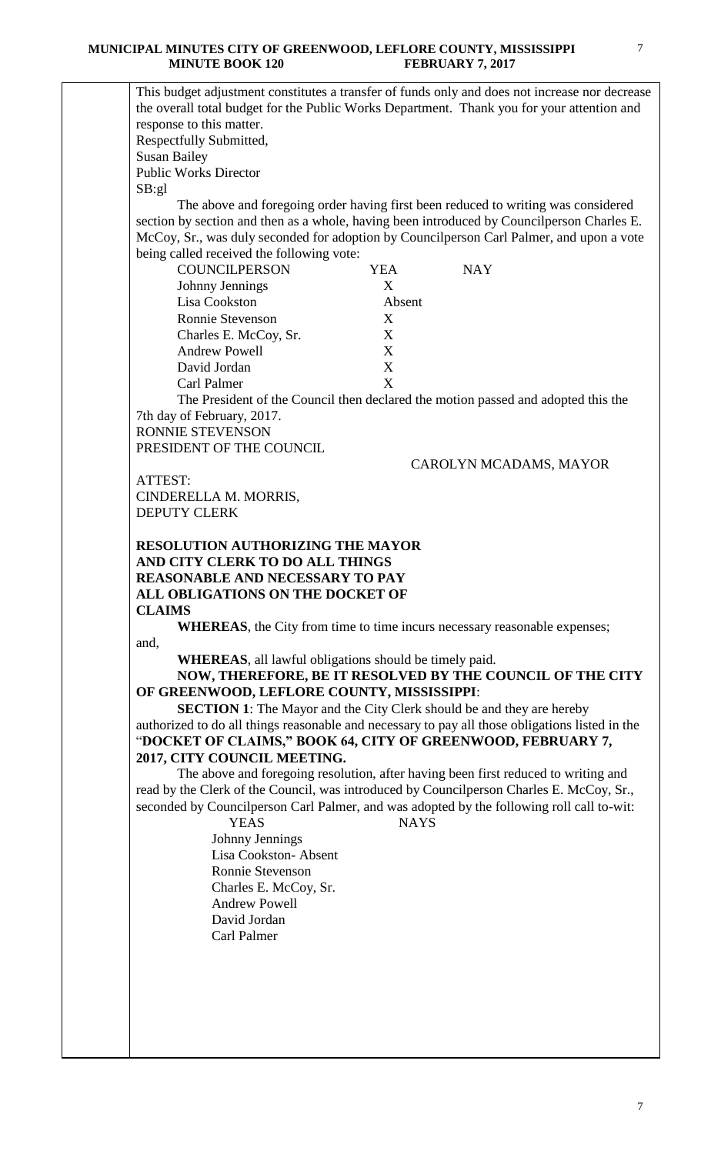#### **MUNICIPAL MINUTES CITY OF GREENWOOD, LEFLORE COUNTY, MISSISSIPPI MINUTE BOOK 120 FEBRUARY 7, 2017**

This budget adjustment constitutes a transfer of funds only and does not increase nor decrease the overall total budget for the Public Works Department. Thank you for your attention and response to this matter. Respectfully Submitted, Susan Bailey Public Works Director

 The above and foregoing order having first been reduced to writing was considered section by section and then as a whole, having been introduced by Councilperson Charles E. McCoy, Sr., was duly seconded for adoption by Councilperson Carl Palmer, and upon a vote being called received the following vote:

| <b>COUNCILPERSON</b>    | YEA    | <b>NAY</b> |
|-------------------------|--------|------------|
| Johnny Jennings         | X      |            |
| Lisa Cookston           | Absent |            |
| <b>Ronnie Stevenson</b> | X      |            |
| Charles E. McCoy, Sr.   | X      |            |
| <b>Andrew Powell</b>    | X      |            |
| David Jordan            | X      |            |
| Carl Palmer             | x      |            |

The President of the Council then declared the motion passed and adopted this the 7th day of February, 2017.

RONNIE STEVENSON PRESIDENT OF THE COUNCIL

CAROLYN MCADAMS, MAYOR

ATTEST: CINDERELLA M. MORRIS, DEPUTY CLERK

SB:gl

## **RESOLUTION AUTHORIZING THE MAYOR AND CITY CLERK TO DO ALL THINGS REASONABLE AND NECESSARY TO PAY ALL OBLIGATIONS ON THE DOCKET OF CLAIMS**

**WHEREAS**, the City from time to time incurs necessary reasonable expenses; and,

**WHEREAS**, all lawful obligations should be timely paid.

**NOW, THEREFORE, BE IT RESOLVED BY THE COUNCIL OF THE CITY OF GREENWOOD, LEFLORE COUNTY, MISSISSIPPI**:

**SECTION 1**: The Mayor and the City Clerk should be and they are hereby authorized to do all things reasonable and necessary to pay all those obligations listed in the "**DOCKET OF CLAIMS," BOOK 64, CITY OF GREENWOOD, FEBRUARY 7, 2017, CITY COUNCIL MEETING.**

The above and foregoing resolution, after having been first reduced to writing and read by the Clerk of the Council, was introduced by Councilperson Charles E. McCoy, Sr., seconded by Councilperson Carl Palmer, and was adopted by the following roll call to-wit:

YEAS NAYS

 Johnny Jennings Lisa Cookston- Absent Ronnie Stevenson Charles E. McCoy, Sr. Andrew Powell David Jordan Carl Palmer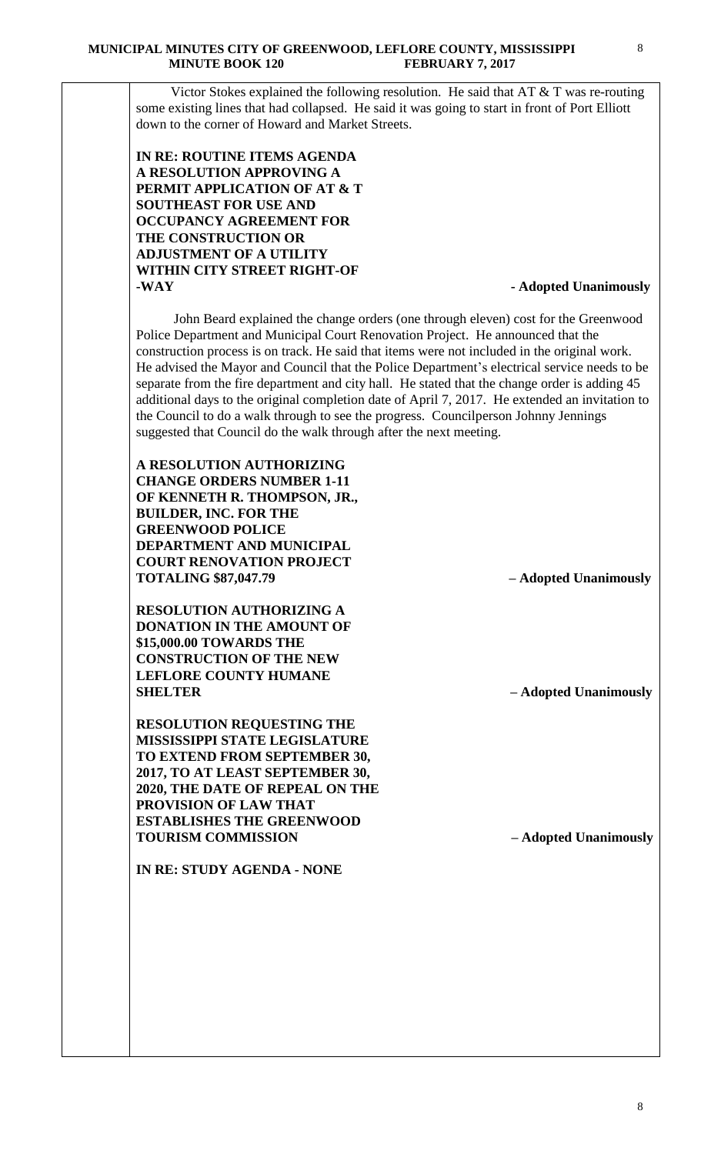Victor Stokes explained the following resolution. He said that AT & T was re-routing some existing lines that had collapsed. He said it was going to start in front of Port Elliott down to the corner of Howard and Market Streets.

**IN RE: ROUTINE ITEMS AGENDA A RESOLUTION APPROVING A PERMIT APPLICATION OF AT & T SOUTHEAST FOR USE AND OCCUPANCY AGREEMENT FOR THE CONSTRUCTION OR ADJUSTMENT OF A UTILITY WITHIN CITY STREET RIGHT-OF -WAY - Adopted Unanimously**

John Beard explained the change orders (one through eleven) cost for the Greenwood Police Department and Municipal Court Renovation Project. He announced that the construction process is on track. He said that items were not included in the original work. He advised the Mayor and Council that the Police Department's electrical service needs to be separate from the fire department and city hall. He stated that the change order is adding 45 additional days to the original completion date of April 7, 2017. He extended an invitation to the Council to do a walk through to see the progress. Councilperson Johnny Jennings suggested that Council do the walk through after the next meeting.

**A RESOLUTION AUTHORIZING CHANGE ORDERS NUMBER 1-11 OF KENNETH R. THOMPSON, JR., BUILDER, INC. FOR THE GREENWOOD POLICE DEPARTMENT AND MUNICIPAL COURT RENOVATION PROJECT TOTALING \$87,047.79 – Adopted Unanimously**

**RESOLUTION AUTHORIZING A DONATION IN THE AMOUNT OF \$15,000.00 TOWARDS THE CONSTRUCTION OF THE NEW LEFLORE COUNTY HUMANE SHELTER – Adopted Unanimously**

**RESOLUTION REQUESTING THE MISSISSIPPI STATE LEGISLATURE TO EXTEND FROM SEPTEMBER 30, 2017, TO AT LEAST SEPTEMBER 30, 2020, THE DATE OF REPEAL ON THE PROVISION OF LAW THAT ESTABLISHES THE GREENWOOD TOURISM COMMISSION – Adopted Unanimously**

**IN RE: STUDY AGENDA - NONE**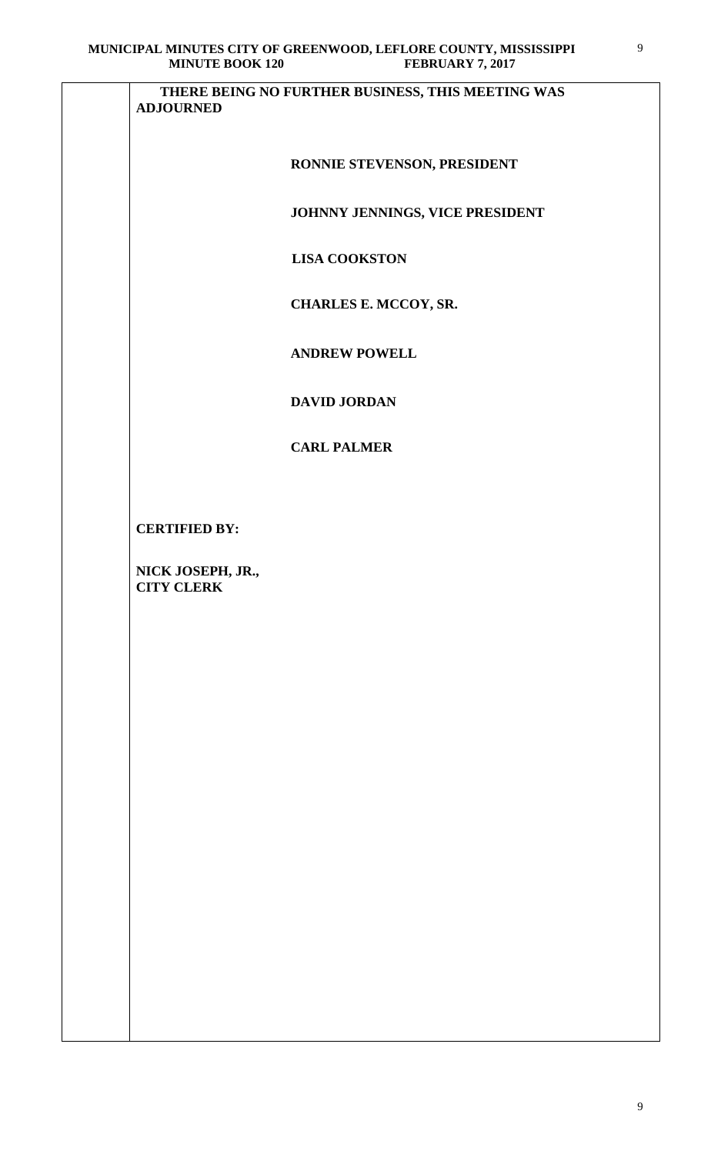| <b>MINUTE BOOK 120</b>                 | <b>FEBRUARY 7, 2017</b>                           |
|----------------------------------------|---------------------------------------------------|
| <b>ADJOURNED</b>                       | THERE BEING NO FURTHER BUSINESS, THIS MEETING WAS |
|                                        | RONNIE STEVENSON, PRESIDENT                       |
|                                        | JOHNNY JENNINGS, VICE PRESIDENT                   |
|                                        | <b>LISA COOKSTON</b>                              |
|                                        | CHARLES E. MCCOY, SR.                             |
|                                        | <b>ANDREW POWELL</b>                              |
|                                        | <b>DAVID JORDAN</b>                               |
|                                        | <b>CARL PALMER</b>                                |
|                                        |                                                   |
| <b>CERTIFIED BY:</b>                   |                                                   |
| NICK JOSEPH, JR.,<br><b>CITY CLERK</b> |                                                   |
|                                        |                                                   |
|                                        |                                                   |
|                                        |                                                   |
|                                        |                                                   |
|                                        |                                                   |
|                                        |                                                   |
|                                        |                                                   |
|                                        |                                                   |
|                                        |                                                   |